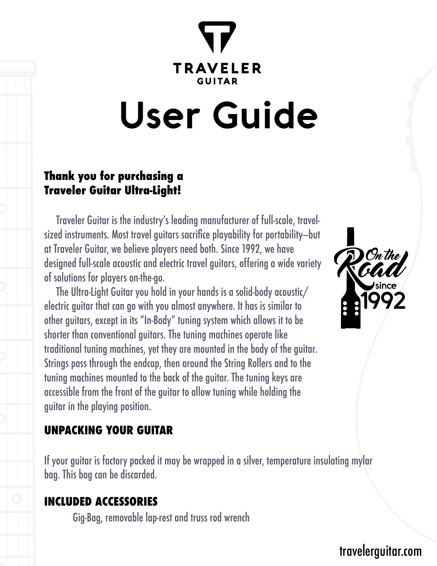## **TRAVELER GUITAP**

# **User Guide**

#### **Thank you for purchasing a Traveler Guitar Ultra-Light!**

 Traveler Guitar is the industry's leading manufacturer of full-scale, travelsized instruments. Most travel guitars sacrifice playability for portability—but at Traveler Guitar, we believe players need both. Since 1992, we have designed full-scale acoustic and electric travel guitars, offering a wide variety of solutions for players on-the-go.

 The Ultra-Light Guitar you hold in your hands is a solid-body acoustic/ electric guitar that can go with you almost anywhere. It has is similar to other guitars, except in its "In-Body" tuning system which allows it to be shorter than conventional guitars. The tuning machines operate like traditional tuning machines, yet they are mounted in the body of the guitar. Strings pass through the endcap, then around the String Rollers and to the tuning machines mounted to the back of the guitar. The tuning keys are accessible from the front of the guitar to allow tuning while holding the guitar in the playing position.

[travelerguitar.com](http://www.travelerguitar.com/) 

#### **UNPACKING YOUR GUITAR**

If your guitar is factory packed it may be wrapped in a silver, temperature insulating mylar bag. This bag can be discarded.

#### **INCLUDED ACCESSORIES**

Gig-Bag, removable lap-rest and truss rod wrench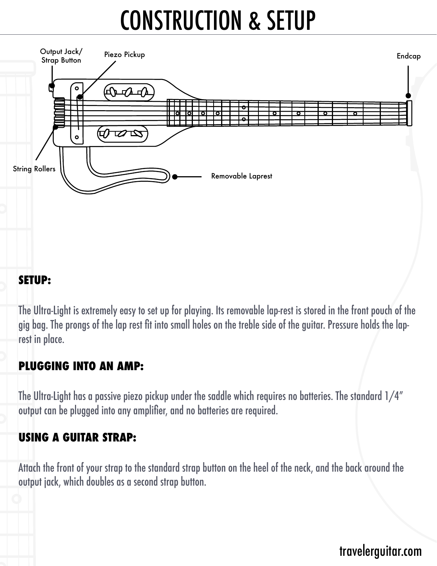### CONSTRUCTION & SETUP



#### **SETUP:**

The Ultra-Light is extremely easy to set up for playing. Its removable lap-rest is stored in the front pouch of the gig bag. The prongs of the lap rest fit into small holes on the treble side of the guitar. Pressure holds the laprest in place.

#### **PLUGGING INTO AN AMP:**

The Ultra-Light has a passive piezo pickup under the saddle which requires no batteries. The standard 1/4" output can be plugged into any amplifier, and no batteries are required.

#### **USING A GUITAR STRAP:**

Attach the front of your strap to the standard strap button on the heel of the neck, and the back around the output jack, which doubles as a second strap button.

#### [travelerguitar.com](http://www.travelerguitar.com/)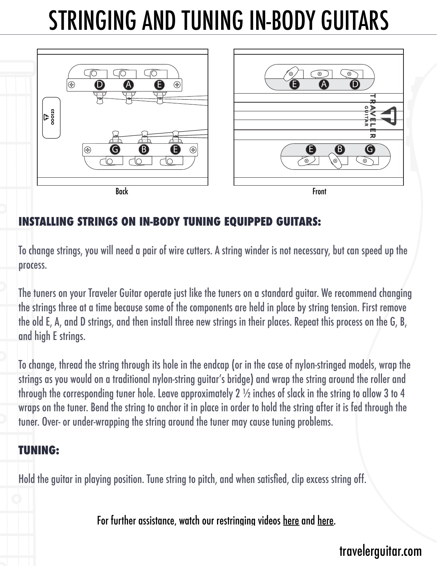### STRINGING AND TUNING IN-BODY GUITARS



#### **INSTALLING STRINGS ON IN-BODY TUNING EQUIPPED GUITARS:**

To change strings, you will need a pair of wire cutters. A string winder is not necessary, but can speed up the process.

The tuners on your Traveler Guitar operate just like the tuners on a standard guitar. We recommend changing the strings three at a time because some of the components are held in place by string tension. First remove the old E, A, and D strings, and then install three new strings in their places. Repeat this process on the G, B, and high E strings.

To change, thread the string through its hole in the endcap (or in the case of nylon-stringed models, wrap the strings as you would on a traditional nylon-string guitar's bridge) and wrap the string around the roller and through the corresponding tuner hole. Leave approximately 2 ½ inches of slack in the string to allow 3 to 4 wraps on the tuner. Bend the string to anchor it in place in order to hold the string after it is fed through the tuner. Over- or under-wrapping the string around the tuner may cause tuning problems.

#### **TUNING:**

Hold the guitar in playing position. Tune string to pitch, and when satisfied, clip excess string off.

For further assistance, watch our restringing videos [here](http://www.youtube.com/watch?v=6EFfhGqDwxc) and [here.](http://www.youtube.com/watch?v=SoPwPGdPm0k)

#### [travelerguitar.com](http://www.travelerguitar.com/)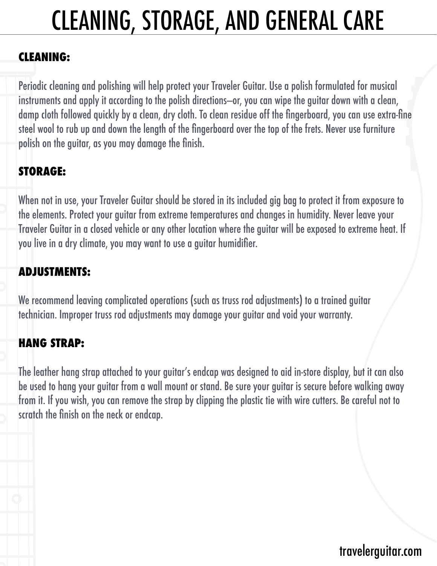### CLEANING, STORAGE, AND GENERAL CARE

#### **CLEANING:**

Periodic cleaning and polishing will help protect your Traveler Guitar. Use a polish formulated for musical instruments and apply it according to the polish directions—or, you can wipe the guitar down with a clean, damp cloth followed quickly by a clean, dry cloth. To clean residue off the fingerboard, you can use extra-fine steel wool to rub up and down the length of the fingerboard over the top of the frets. Never use furniture polish on the guitar, as you may damage the finish.

#### **STORAGE:**

When not in use, your Traveler Guitar should be stored in its included gig bag to protect it from exposure to the elements. Protect your guitar from extreme temperatures and changes in humidity. Never leave your Traveler Guitar in a closed vehicle or any other location where the guitar will be exposed to extreme heat. If you live in a dry climate, you may want to use a guitar humidifier.

#### **ADJUSTMENTS:**

We recommend leaving complicated operations (such as truss rod adjustments) to a trained guitar technician. Improper truss rod adjustments may damage your guitar and void your warranty.

#### **HANG STRAP:**

The leather hang strap attached to your guitar's endcap was designed to aid in-store display, but it can also be used to hang your guitar from a wall mount or stand. Be sure your guitar is secure before walking away from it. If you wish, you can remove the strap by clipping the plastic tie with wire cutters. Be careful not to scratch the finish on the neck or endcap.

### [travelerguitar.com](http://www.travelerguitar.com/)